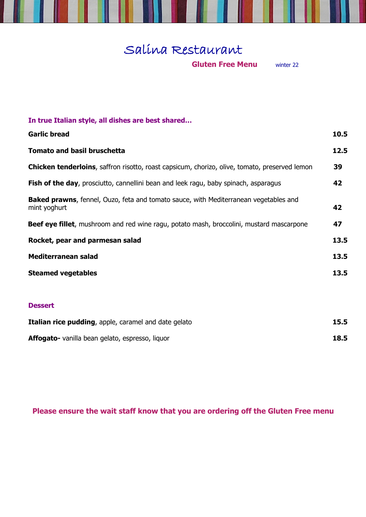## Salina Restaurant

I

**Gluten Free Menu** winter 22

| In true Italian style, all dishes are best shared                                                            |      |
|--------------------------------------------------------------------------------------------------------------|------|
| <b>Garlic bread</b>                                                                                          | 10.5 |
| <b>Tomato and basil bruschetta</b>                                                                           | 12.5 |
| <b>Chicken tenderloins</b> , saffron risotto, roast capsicum, chorizo, olive, tomato, preserved lemon        | 39   |
| Fish of the day, prosciutto, cannellini bean and leek ragu, baby spinach, asparagus                          | 42   |
| <b>Baked prawns</b> , fennel, Ouzo, feta and tomato sauce, with Mediterranean vegetables and<br>mint yoghurt | 42   |
| Beef eye fillet, mushroom and red wine ragu, potato mash, broccolini, mustard mascarpone                     | 47   |
| Rocket, pear and parmesan salad                                                                              | 13.5 |
| <b>Mediterranean salad</b>                                                                                   | 13.5 |
| <b>Steamed vegetables</b>                                                                                    | 13.5 |
| <b>Dessert</b>                                                                                               |      |
| Italian rice pudding, apple, caramel and date gelato                                                         | 15.5 |
| Affogato- vanilla bean gelato, espresso, liquor                                                              | 18.5 |

**Please ensure the wait staff know that you are ordering off the Gluten Free menu**